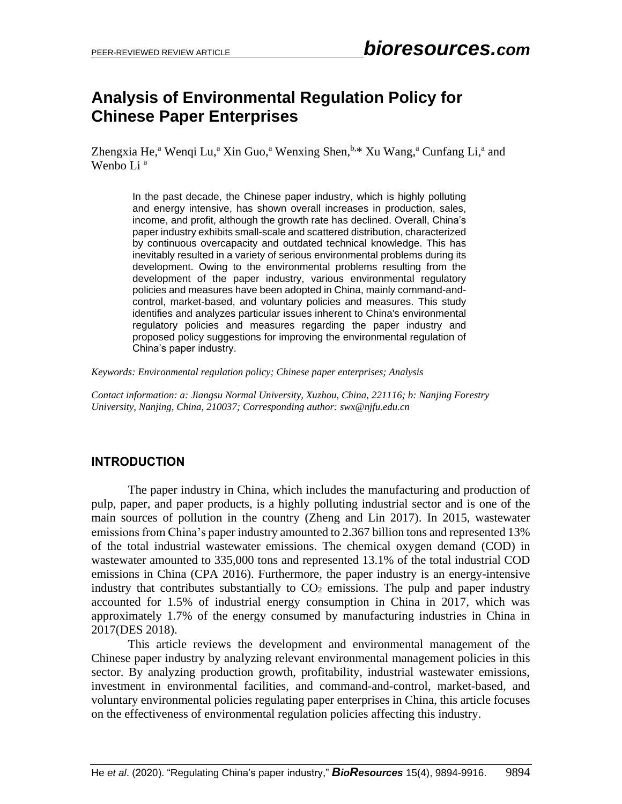# **Analysis of Environmental Regulation Policy for Chinese Paper Enterprises**

Zhengxia He,<sup>a</sup> Wenqi Lu,<sup>a</sup> Xin Guo,<sup>a</sup> Wenxing Shen,<sup>b,\*</sup> Xu Wang,<sup>a</sup> Cunfang Li,<sup>a</sup> and Wenbo Li<sup>a</sup>

In the past decade, the Chinese paper industry, which is highly polluting and energy intensive, has shown overall increases in production, sales, income, and profit, although the growth rate has declined. Overall, China's paper industry exhibits small-scale and scattered distribution, characterized by continuous overcapacity and outdated technical knowledge. This has inevitably resulted in a variety of serious environmental problems during its development. Owing to the environmental problems resulting from the development of the paper industry, various environmental regulatory policies and measures have been adopted in China, mainly command-andcontrol, market-based, and voluntary policies and measures. This study identifies and analyzes particular issues inherent to China's environmental regulatory policies and measures regarding the paper industry and proposed policy suggestions for improving the environmental regulation of China's paper industry.

*Keywords: Environmental regulation policy; Chinese paper enterprises; Analysis*

*Contact information: a: Jiangsu Normal University, Xuzhou, China, 221116; b: Nanjing Forestry University, Nanjing, China, 210037; Corresponding author: swx@njfu.edu.cn*

# **INTRODUCTION**

The paper industry in China, which includes the manufacturing and production of pulp, paper, and paper products, is a highly polluting industrial sector and is one of the main sources of pollution in the country (Zheng and Lin 2017). In 2015, wastewater emissions from China's paper industry amounted to 2.367 billion tons and represented 13% of the total industrial wastewater emissions. The chemical oxygen demand (COD) in wastewater amounted to 335,000 tons and represented 13.1% of the total industrial COD emissions in China (CPA 2016). Furthermore, the paper industry is an energy-intensive industry that contributes substantially to  $CO<sub>2</sub>$  emissions. The pulp and paper industry accounted for 1.5% of industrial energy consumption in China in 2017, which was approximately 1.7% of the energy consumed by manufacturing industries in China in 2017(DES 2018).

This article reviews the development and environmental management of the Chinese paper industry by analyzing relevant environmental management policies in this sector. By analyzing production growth, profitability, industrial wastewater emissions, investment in environmental facilities, and command-and-control, market-based, and voluntary environmental policies regulating paper enterprises in China, this article focuses on the effectiveness of environmental regulation policies affecting this industry.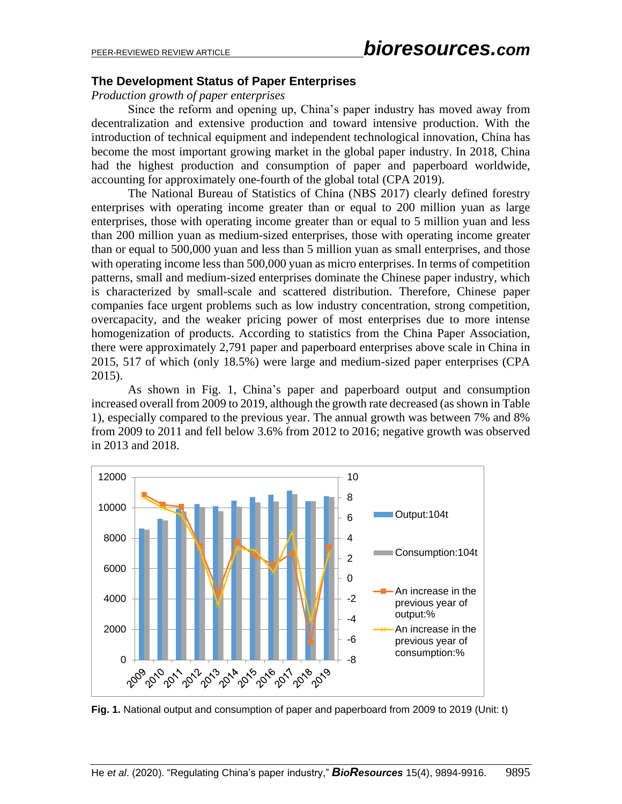# **The Development Status of Paper Enterprises**

*Production growth of paper enterprises*

Since the reform and opening up, China's paper industry has moved away from decentralization and extensive production and toward intensive production. With the introduction of technical equipment and independent technological innovation, China has become the most important growing market in the global paper industry. In 2018, China had the highest production and consumption of paper and paperboard worldwide, accounting for approximately one-fourth of the global total (CPA 2019).

The National Bureau of Statistics of China (NBS 2017) clearly defined forestry enterprises with operating income greater than or equal to 200 million yuan as large enterprises, those with operating income greater than or equal to 5 million yuan and less than 200 million yuan as medium-sized enterprises, those with operating income greater than or equal to 500,000 yuan and less than 5 million yuan as small enterprises, and those with operating income less than 500,000 yuan as micro enterprises. In terms of competition patterns, small and medium-sized enterprises dominate the Chinese paper industry, which is characterized by small-scale and scattered distribution. Therefore, Chinese paper companies face urgent problems such as low industry concentration, strong competition, overcapacity, and the weaker pricing power of most enterprises due to more intense homogenization of products. According to statistics from the China Paper Association, there were approximately 2,791 paper and paperboard enterprises above scale in China in 2015, 517 of which (only 18.5%) were large and medium-sized paper enterprises (CPA 2015).

As shown in Fig. 1, China's paper and paperboard output and consumption increased overall from 2009 to 2019, although the growth rate decreased (as shown in Table 1), especially compared to the previous year. The annual growth was between 7% and 8% from 2009 to 2011 and fell below 3.6% from 2012 to 2016; negative growth was observed in 2013 and 2018.



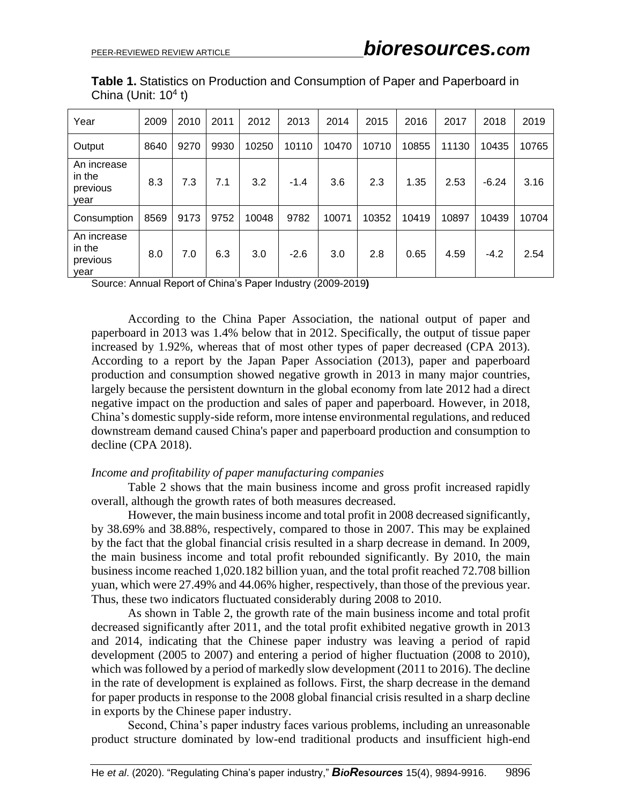| Year                                      | 2009 | 2010 | 2011 | 2012  | 2013   | 2014  | 2015  | 2016  | 2017  | 2018    | 2019  |
|-------------------------------------------|------|------|------|-------|--------|-------|-------|-------|-------|---------|-------|
| Output                                    | 8640 | 9270 | 9930 | 10250 | 10110  | 10470 | 10710 | 10855 | 11130 | 10435   | 10765 |
| An increase<br>in the<br>previous<br>year | 8.3  | 7.3  | 7.1  | 3.2   | $-1.4$ | 3.6   | 2.3   | 1.35  | 2.53  | $-6.24$ | 3.16  |
| Consumption                               | 8569 | 9173 | 9752 | 10048 | 9782   | 10071 | 10352 | 10419 | 10897 | 10439   | 10704 |
| An increase<br>in the<br>previous<br>year | 8.0  | 7.0  | 6.3  | 3.0   | $-2.6$ | 3.0   | 2.8   | 0.65  | 4.59  | $-4.2$  | 2.54  |

**Table 1.** Statistics on Production and Consumption of Paper and Paperboard in China (Unit:  $10<sup>4</sup>$  t)

Source: Annual Report of China's Paper Industry (2009-2019**)**

According to the China Paper Association, the national output of paper and paperboard in 2013 was 1.4% below that in 2012. Specifically, the output of tissue paper increased by 1.92%, whereas that of most other types of paper decreased (CPA 2013). According to a report by the Japan Paper Association (2013), paper and paperboard production and consumption showed negative growth in 2013 in many major countries, largely because the persistent downturn in the global economy from late 2012 had a direct negative impact on the production and sales of paper and paperboard. However, in 2018, China's domestic supply-side reform, more intense environmental regulations, and reduced downstream demand caused China's paper and paperboard production and consumption to decline (CPA 2018).

#### *Income and profitability of paper manufacturing companies*

Table 2 shows that the main business income and gross profit increased rapidly overall, although the growth rates of both measures decreased.

However, the main business income and total profit in 2008 decreased significantly, by 38.69% and 38.88%, respectively, compared to those in 2007. This may be explained by the fact that the global financial crisis resulted in a sharp decrease in demand. In 2009, the main business income and total profit rebounded significantly. By 2010, the main business income reached 1,020.182 billion yuan, and the total profit reached 72.708 billion yuan, which were 27.49% and 44.06% higher, respectively, than those of the previous year. Thus, these two indicators fluctuated considerably during 2008 to 2010.

As shown in Table 2, the growth rate of the main business income and total profit decreased significantly after 2011, and the total profit exhibited negative growth in 2013 and 2014, indicating that the Chinese paper industry was leaving a period of rapid development (2005 to 2007) and entering a period of higher fluctuation (2008 to 2010), which was followed by a period of markedly slow development (2011 to 2016). The decline in the rate of development is explained as follows. First, the sharp decrease in the demand for paper products in response to the 2008 global financial crisis resulted in a sharp decline in exports by the Chinese paper industry.

Second, China's paper industry faces various problems, including an unreasonable product structure dominated by low-end traditional products and insufficient high-end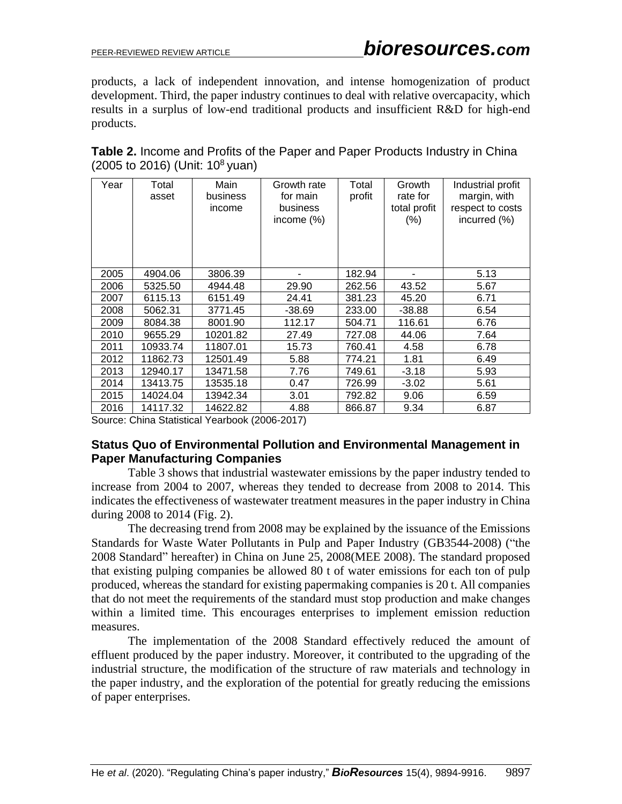products, a lack of independent innovation, and intense homogenization of product development. Third, the paper industry continues to deal with relative overcapacity, which results in a surplus of low-end traditional products and insufficient R&D for high-end products.

| <b>Table 2.</b> Income and Profits of the Paper and Paper Products Industry in China |  |
|--------------------------------------------------------------------------------------|--|
| $(2005 \text{ to } 2016)$ (Unit: 10 <sup>8</sup> yuan)                               |  |

| Year | Total<br>asset | Main<br>business<br>income | Growth rate<br>for main<br>business<br>income $(\%)$ | Total<br>profit | Growth<br>rate for<br>total profit<br>(% ) | Industrial profit<br>margin, with<br>respect to costs<br>incurred (%) |
|------|----------------|----------------------------|------------------------------------------------------|-----------------|--------------------------------------------|-----------------------------------------------------------------------|
| 2005 | 4904.06        | 3806.39                    |                                                      | 182.94          |                                            | 5.13                                                                  |
| 2006 | 5325.50        | 4944.48                    | 29.90                                                | 262.56          | 43.52                                      | 5.67                                                                  |
| 2007 | 6115.13        | 6151.49                    | 24.41                                                | 381.23          | 45.20                                      | 6.71                                                                  |
| 2008 | 5062.31        | 3771.45                    | $-38.69$                                             | 233.00          | $-38.88$                                   | 6.54                                                                  |
| 2009 | 8084.38        | 8001.90                    | 112.17                                               | 504.71          | 116.61                                     | 6.76                                                                  |
| 2010 | 9655.29        | 10201.82                   | 27.49                                                | 727.08          | 44.06                                      | 7.64                                                                  |
| 2011 | 10933.74       | 11807.01                   | 15.73                                                | 760.41          | 4.58                                       | 6.78                                                                  |
| 2012 | 11862.73       | 12501.49                   | 5.88                                                 | 774.21          | 1.81                                       | 6.49                                                                  |
| 2013 | 12940.17       | 13471.58                   | 7.76                                                 | 749.61          | $-3.18$                                    | 5.93                                                                  |
| 2014 | 13413.75       | 13535.18                   | 0.47                                                 | 726.99          | $-3.02$                                    | 5.61                                                                  |
| 2015 | 14024.04       | 13942.34                   | 3.01                                                 | 792.82          | 9.06                                       | 6.59                                                                  |
| 2016 | 14117.32       | 14622.82                   | 4.88                                                 | 866.87          | 9.34                                       | 6.87                                                                  |

Source: China Statistical Yearbook (2006-2017)

#### **Status Quo of Environmental Pollution and Environmental Management in Paper Manufacturing Companies**

Table 3 shows that industrial wastewater emissions by the paper industry tended to increase from 2004 to 2007, whereas they tended to decrease from 2008 to 2014. This indicates the effectiveness of wastewater treatment measures in the paper industry in China during 2008 to 2014 (Fig. 2).

The decreasing trend from 2008 may be explained by the issuance of the Emissions Standards for Waste Water Pollutants in Pulp and Paper Industry (GB3544-2008) ("the 2008 Standard" hereafter) in China on June 25, 2008(MEE 2008). The standard proposed that existing pulping companies be allowed 80 t of water emissions for each ton of pulp produced, whereas the standard for existing papermaking companies is 20 t. All companies that do not meet the requirements of the standard must stop production and make changes within a limited time. This encourages enterprises to implement emission reduction measures.

The implementation of the 2008 Standard effectively reduced the amount of effluent produced by the paper industry. Moreover, it contributed to the upgrading of the industrial structure, the modification of the structure of raw materials and technology in the paper industry, and the exploration of the potential for greatly reducing the emissions of paper enterprises.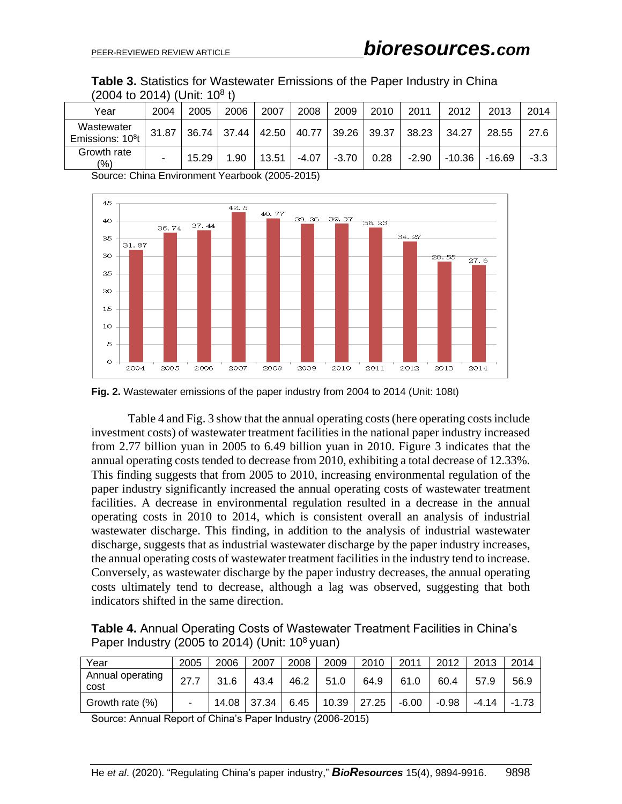| Table 3. Statistics for Wastewater Emissions of the Paper Industry in China |  |  |  |
|-----------------------------------------------------------------------------|--|--|--|
| (2004 to 2014) (Unit: 10 <sup>8</sup> t)                                    |  |  |  |

| Year                                       | 2004  | 2005  | 2006 | 2007              | 2008    | 2009    | 2010        | 2011    | 2012     | 2013   | 2014   |
|--------------------------------------------|-------|-------|------|-------------------|---------|---------|-------------|---------|----------|--------|--------|
| Wastewater<br>Emissions: 10 <sup>8</sup> t | 31.87 |       |      | 36.74 37.44 42.50 | 40.77   |         | 39.26 39.37 | 38.23   | 34.27    | 28.55  | 27.6   |
| Growth rate<br>(%)                         | -     | 15.29 | 1.90 | 13.51             | $-4.07$ | $-3.70$ | 0.28        | $-2.90$ | $-10.36$ | -16.69 | $-3.3$ |

Source: China Environment Yearbook (2005-2015)



**Fig. 2.** Wastewater emissions of the paper industry from 2004 to 2014 (Unit: 108t)

Table 4 and Fig. 3 show that the annual operating costs(here operating costs include investment costs) of wastewater treatment facilities in the national paper industry increased from 2.77 billion yuan in 2005 to 6.49 billion yuan in 2010. Figure 3 indicates that the annual operating costs tended to decrease from 2010, exhibiting a total decrease of 12.33%. This finding suggests that from 2005 to 2010, increasing environmental regulation of the paper industry significantly increased the annual operating costs of wastewater treatment facilities. A decrease in environmental regulation resulted in a decrease in the annual operating costs in 2010 to 2014, which is consistent overall an analysis of industrial wastewater discharge. This finding, in addition to the analysis of industrial wastewater discharge, suggests that as industrial wastewater discharge by the paper industry increases, the annual operating costs of wastewater treatment facilities in the industry tend to increase. Conversely, as wastewater discharge by the paper industry decreases, the annual operating costs ultimately tend to decrease, although a lag was observed, suggesting that both indicators shifted in the same direction.

**Table 4.** Annual Operating Costs of Wastewater Treatment Facilities in China's Paper Industry (2005 to 2014) (Unit: 10<sup>8</sup> yuan)

| Year                     | 2005 | 2006  | 2007  | 2008 | 2009 | 2010          | 2011    | 2012    | 2013    | 2014    |
|--------------------------|------|-------|-------|------|------|---------------|---------|---------|---------|---------|
| Annual operating<br>cost | 27.7 | 31.6  | 43.4  | 46.2 | 51.0 | 64.9          | 61.0    | 60.4    | 57.9    | 56.9    |
| Growth rate (%)          |      | 14.08 | 37.34 | 6.45 |      | $10.39$ 27.25 | $-6.00$ | $-0.98$ | $-4.14$ | $-1.73$ |

Source: Annual Report of China's Paper Industry (2006-2015)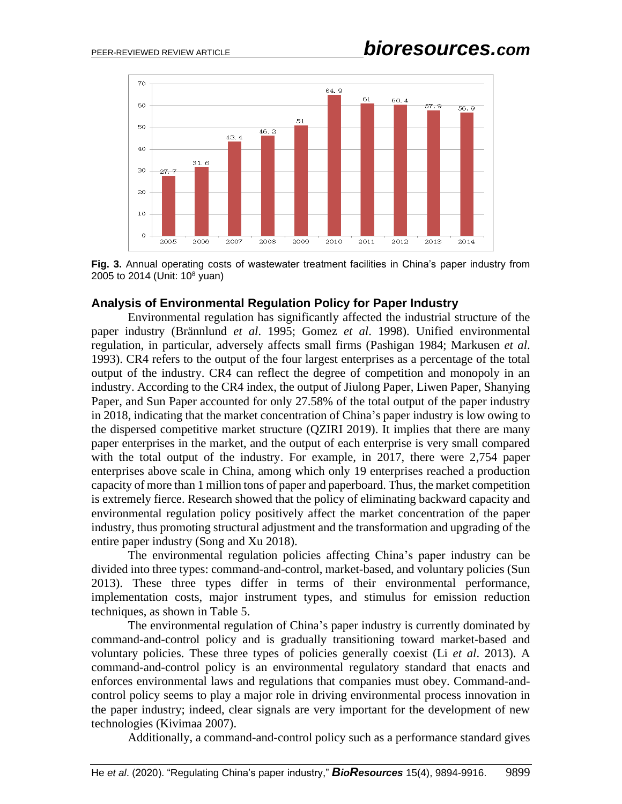

**Fig. 3.** Annual operating costs of wastewater treatment facilities in China's paper industry from 2005 to 2014 (Unit:  $10^8$  yuan)

#### **Analysis of Environmental Regulation Policy for Paper Industry**

Environmental regulation has significantly affected the industrial structure of the paper industry (Brännlund *et al*. 1995; Gomez *et al*. 1998). Unified environmental regulation, in particular, adversely affects small firms (Pashigan 1984; Markusen *et al*. 1993). CR4 refers to the output of the four largest enterprises as a percentage of the total output of the industry. CR4 can reflect the degree of competition and monopoly in an industry. According to the CR4 index, the output of Jiulong Paper, Liwen Paper, Shanying Paper, and Sun Paper accounted for only 27.58% of the total output of the paper industry in 2018, indicating that the market concentration of China's paper industry is low owing to the dispersed competitive market structure (QZIRI 2019). It implies that there are many paper enterprises in the market, and the output of each enterprise is very small compared with the total output of the industry. For example, in 2017, there were 2,754 paper enterprises above scale in China, among which only 19 enterprises reached a production capacity of more than 1 million tons of paper and paperboard. Thus, the market competition is extremely fierce. Research showed that the policy of eliminating backward capacity and environmental regulation policy positively affect the market concentration of the paper industry, thus promoting structural adjustment and the transformation and upgrading of the entire paper industry (Song and Xu 2018).

The environmental regulation policies affecting China's paper industry can be divided into three types: command-and-control, market-based, and voluntary policies (Sun 2013). These three types differ in terms of their environmental performance, implementation costs, major instrument types, and stimulus for emission reduction techniques, as shown in Table 5.

The environmental regulation of China's paper industry is currently dominated by command-and-control policy and is gradually transitioning toward market-based and voluntary policies. These three types of policies generally coexist (Li *et al*. 2013). A command-and-control policy is an environmental regulatory standard that enacts and enforces environmental laws and regulations that companies must obey. Command-andcontrol policy seems to play a major role in driving environmental process innovation in the paper industry; indeed, clear signals are very important for the development of new technologies (Kivimaa 2007).

Additionally, a command-and-control policy such as a performance standard gives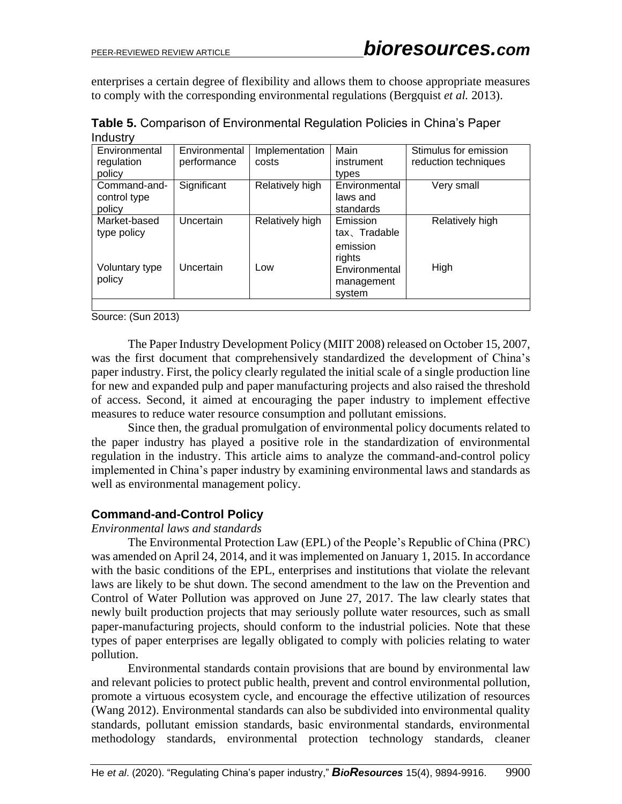enterprises a certain degree of flexibility and allows them to choose appropriate measures to comply with the corresponding environmental regulations (Bergquist *et al.* 2013).

| Environmental  | Environmental | Implementation  | Main          | Stimulus for emission |
|----------------|---------------|-----------------|---------------|-----------------------|
| regulation     | performance   | costs           | instrument    | reduction techniques  |
| policy         |               |                 | types         |                       |
| Command-and-   | Significant   | Relatively high | Environmental | Very small            |
| control type   |               |                 | laws and      |                       |
| policy         |               |                 | standards     |                       |
| Market-based   | Uncertain     | Relatively high | Emission      | Relatively high       |
| type policy    |               |                 | tax、Tradable  |                       |
|                |               |                 | emission      |                       |
|                |               |                 | rights        |                       |
| Voluntary type | Uncertain     | Low             | Environmental | High                  |
| policy         |               |                 | management    |                       |
|                |               |                 | system        |                       |
|                |               |                 |               |                       |

**Table 5.** Comparison of Environmental Regulation Policies in China's Paper Industry

Source: (Sun 2013)

The Paper Industry Development Policy (MIIT 2008) released on October 15, 2007, was the first document that comprehensively standardized the development of China's paper industry. First, the policy clearly regulated the initial scale of a single production line for new and expanded pulp and paper manufacturing projects and also raised the threshold of access. Second, it aimed at encouraging the paper industry to implement effective measures to reduce water resource consumption and pollutant emissions.

Since then, the gradual promulgation of environmental policy documents related to the paper industry has played a positive role in the standardization of environmental regulation in the industry. This article aims to analyze the command-and-control policy implemented in China's paper industry by examining environmental laws and standards as well as environmental management policy.

# **Command-and-Control Policy**

#### *Environmental laws and standards*

The Environmental Protection Law (EPL) of the People's Republic of China (PRC) was amended on April 24, 2014, and it was implemented on January 1, 2015. In accordance with the basic conditions of the EPL, enterprises and institutions that violate the relevant laws are likely to be shut down. The second amendment to the law on the Prevention and Control of Water Pollution was approved on June 27, 2017. The law clearly states that newly built production projects that may seriously pollute water resources, such as small paper-manufacturing projects, should conform to the industrial policies. Note that these types of paper enterprises are legally obligated to comply with policies relating to water pollution.

Environmental standards contain provisions that are bound by environmental law and relevant policies to protect public health, prevent and control environmental pollution, promote a virtuous ecosystem cycle, and encourage the effective utilization of resources (Wang 2012). Environmental standards can also be subdivided into environmental quality standards, pollutant emission standards, basic environmental standards, environmental methodology standards, environmental protection technology standards, cleaner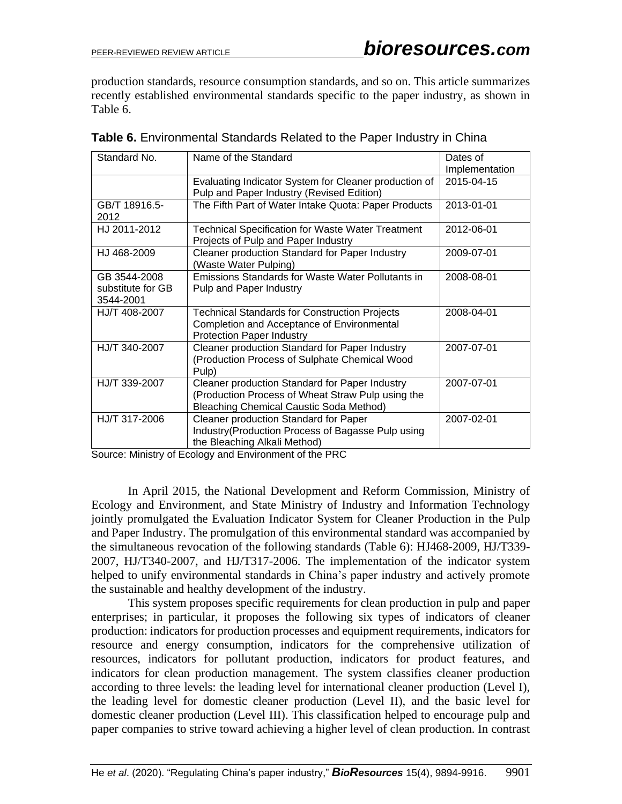production standards, resource consumption standards, and so on. This article summarizes recently established environmental standards specific to the paper industry, as shown in Table 6.

| Standard No.                                   | Name of the Standard                                                                                                                                  | Dates of       |
|------------------------------------------------|-------------------------------------------------------------------------------------------------------------------------------------------------------|----------------|
|                                                |                                                                                                                                                       | Implementation |
|                                                | Evaluating Indicator System for Cleaner production of<br>Pulp and Paper Industry (Revised Edition)                                                    | 2015-04-15     |
| GB/T 18916.5-<br>2012                          | The Fifth Part of Water Intake Quota: Paper Products                                                                                                  | 2013-01-01     |
| HJ 2011-2012                                   | <b>Technical Specification for Waste Water Treatment</b><br>Projects of Pulp and Paper Industry                                                       | 2012-06-01     |
| HJ 468-2009                                    | Cleaner production Standard for Paper Industry<br>(Waste Water Pulping)                                                                               | 2009-07-01     |
| GB 3544-2008<br>substitute for GB<br>3544-2001 | <b>Emissions Standards for Waste Water Pollutants in</b><br>Pulp and Paper Industry                                                                   | 2008-08-01     |
| HJ/T 408-2007                                  | <b>Technical Standards for Construction Projects</b><br>Completion and Acceptance of Environmental<br><b>Protection Paper Industry</b>                | 2008-04-01     |
| HJ/T 340-2007                                  | Cleaner production Standard for Paper Industry<br>(Production Process of Sulphate Chemical Wood<br>Pulp)                                              | 2007-07-01     |
| HJ/T 339-2007                                  | Cleaner production Standard for Paper Industry<br>(Production Process of Wheat Straw Pulp using the<br><b>Bleaching Chemical Caustic Soda Method)</b> | 2007-07-01     |
| HJ/T 317-2006                                  | Cleaner production Standard for Paper<br>Industry (Production Process of Bagasse Pulp using<br>the Bleaching Alkali Method)                           | 2007-02-01     |

| Table 6. Environmental Standards Related to the Paper Industry in China |  |  |  |  |  |  |
|-------------------------------------------------------------------------|--|--|--|--|--|--|
|-------------------------------------------------------------------------|--|--|--|--|--|--|

Source: Ministry of Ecology and Environment of the PRC

In April 2015, the National Development and Reform Commission, Ministry of Ecology and Environment, and State Ministry of Industry and Information Technology jointly promulgated the Evaluation Indicator System for Cleaner Production in the Pulp and Paper Industry. The promulgation of this environmental standard was accompanied by the simultaneous revocation of the following standards (Table 6): HJ468-2009, HJ/T339- 2007, HJ/T340-2007, and HJ/T317-2006. The implementation of the indicator system helped to unify environmental standards in China's paper industry and actively promote the sustainable and healthy development of the industry.

This system proposes specific requirements for clean production in pulp and paper enterprises; in particular, it proposes the following six types of indicators of cleaner production: indicators for production processes and equipment requirements, indicators for resource and energy consumption, indicators for the comprehensive utilization of resources, indicators for pollutant production, indicators for product features, and indicators for clean production management. The system classifies cleaner production according to three levels: the leading level for international cleaner production (Level I), the leading level for domestic cleaner production (Level II), and the basic level for domestic cleaner production (Level III). This classification helped to encourage pulp and paper companies to strive toward achieving a higher level of clean production. In contrast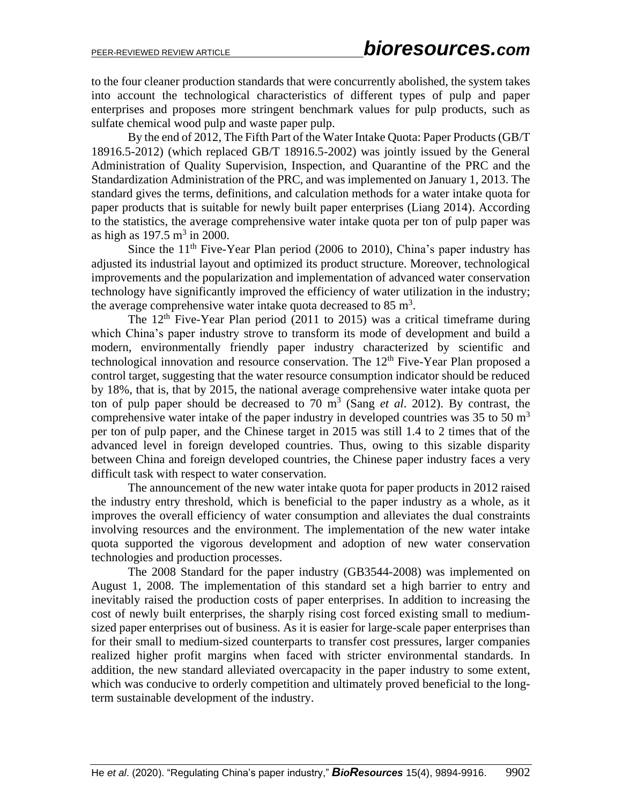to the four cleaner production standards that were concurrently abolished, the system takes into account the technological characteristics of different types of pulp and paper enterprises and proposes more stringent benchmark values for pulp products, such as sulfate chemical wood pulp and waste paper pulp.

By the end of 2012, The Fifth Part of the Water Intake Quota: Paper Products (GB/T 18916.5-2012) (which replaced GB/T 18916.5-2002) was jointly issued by the General Administration of Quality Supervision, Inspection, and Quarantine of the PRC and the Standardization Administration of the PRC, and was implemented on January 1, 2013. The standard gives the terms, definitions, and calculation methods for a water intake quota for paper products that is suitable for newly built paper enterprises (Liang 2014). According to the statistics, the average comprehensive water intake quota per ton of pulp paper was as high as  $197.5 \text{ m}^3$  in 2000.

Since the  $11<sup>th</sup>$  Five-Year Plan period (2006 to 2010), China's paper industry has adjusted its industrial layout and optimized its product structure. Moreover, technological improvements and the popularization and implementation of advanced water conservation technology have significantly improved the efficiency of water utilization in the industry; the average comprehensive water intake quota decreased to  $85 \text{ m}^3$ .

The  $12<sup>th</sup>$  Five-Year Plan period (2011 to 2015) was a critical timeframe during which China's paper industry strove to transform its mode of development and build a modern, environmentally friendly paper industry characterized by scientific and technological innovation and resource conservation. The 12<sup>th</sup> Five-Year Plan proposed a control target, suggesting that the water resource consumption indicator should be reduced by 18%, that is, that by 2015, the national average comprehensive water intake quota per ton of pulp paper should be decreased to 70  $m^3$  (Sang *et al.* 2012). By contrast, the comprehensive water intake of the paper industry in developed countries was 35 to 50  $m<sup>3</sup>$ per ton of pulp paper, and the Chinese target in 2015 was still 1.4 to 2 times that of the advanced level in foreign developed countries. Thus, owing to this sizable disparity between China and foreign developed countries, the Chinese paper industry faces a very difficult task with respect to water conservation.

The announcement of the new water intake quota for paper products in 2012 raised the industry entry threshold, which is beneficial to the paper industry as a whole, as it improves the overall efficiency of water consumption and alleviates the dual constraints involving resources and the environment. The implementation of the new water intake quota supported the vigorous development and adoption of new water conservation technologies and production processes.

The 2008 Standard for the paper industry (GB3544-2008) was implemented on August 1, 2008. The implementation of this standard set a high barrier to entry and inevitably raised the production costs of paper enterprises. In addition to increasing the cost of newly built enterprises, the sharply rising cost forced existing small to mediumsized paper enterprises out of business. As it is easier for large-scale paper enterprises than for their small to medium-sized counterparts to transfer cost pressures, larger companies realized higher profit margins when faced with stricter environmental standards. In addition, the new standard alleviated overcapacity in the paper industry to some extent, which was conducive to orderly competition and ultimately proved beneficial to the longterm sustainable development of the industry.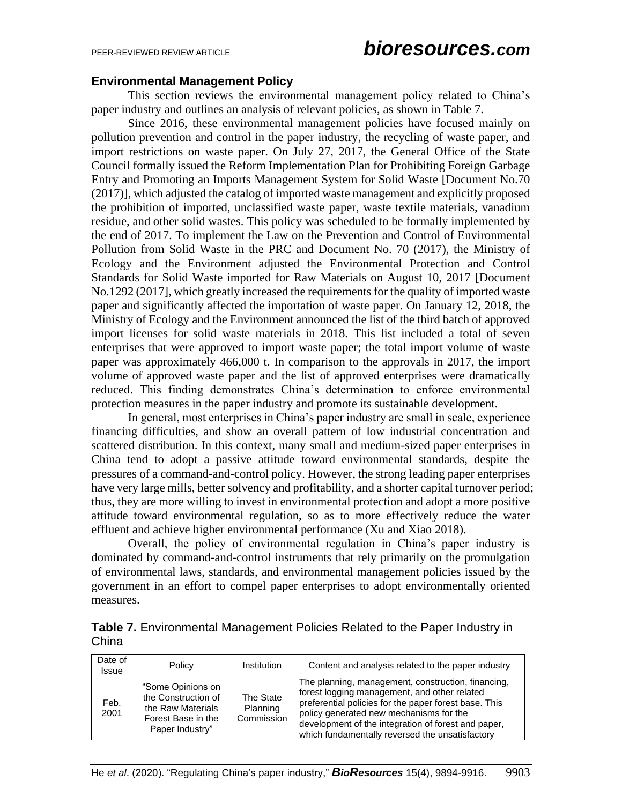#### **Environmental Management Policy**

This section reviews the environmental management policy related to China's paper industry and outlines an analysis of relevant policies, as shown in Table 7.

Since 2016, these environmental management policies have focused mainly on pollution prevention and control in the paper industry, the recycling of waste paper, and import restrictions on waste paper. On July 27, 2017, the General Office of the State Council formally issued the Reform Implementation Plan for Prohibiting Foreign Garbage Entry and Promoting an Imports Management System for Solid Waste [Document No.70 (2017)], which adjusted the catalog of imported waste management and explicitly proposed the prohibition of imported, unclassified waste paper, waste textile materials, vanadium residue, and other solid wastes. This policy was scheduled to be formally implemented by the end of 2017. To implement the Law on the Prevention and Control of Environmental Pollution from Solid Waste in the PRC and Document No. 70 (2017), the Ministry of Ecology and the Environment adjusted the Environmental Protection and Control Standards for Solid Waste imported for Raw Materials on August 10, 2017 [Document No.1292 (2017], which greatly increased the requirements for the quality of imported waste paper and significantly affected the importation of waste paper. On January 12, 2018, the Ministry of Ecology and the Environment announced the list of the third batch of approved import licenses for solid waste materials in 2018. This list included a total of seven enterprises that were approved to import waste paper; the total import volume of waste paper was approximately 466,000 t. In comparison to the approvals in 2017, the import volume of approved waste paper and the list of approved enterprises were dramatically reduced. This finding demonstrates China's determination to enforce environmental protection measures in the paper industry and promote its sustainable development.

In general, most enterprises in China's paper industry are small in scale, experience financing difficulties, and show an overall pattern of low industrial concentration and scattered distribution. In this context, many small and medium-sized paper enterprises in China tend to adopt a passive attitude toward environmental standards, despite the pressures of a command-and-control policy. However, the strong leading paper enterprises have very large mills, better solvency and profitability, and a shorter capital turnover period; thus, they are more willing to invest in environmental protection and adopt a more positive attitude toward environmental regulation, so as to more effectively reduce the water effluent and achieve higher environmental performance (Xu and Xiao 2018).

Overall, the policy of environmental regulation in China's paper industry is dominated by command-and-control instruments that rely primarily on the promulgation of environmental laws, standards, and environmental management policies issued by the government in an effort to compel paper enterprises to adopt environmentally oriented measures.

| Table 7. Environmental Management Policies Related to the Paper Industry in |  |
|-----------------------------------------------------------------------------|--|
| China                                                                       |  |

| Date of<br><b>Issue</b> | Policy                                                                                                 | Institution                         | Content and analysis related to the paper industry                                                                                                                                                                                                                                                               |
|-------------------------|--------------------------------------------------------------------------------------------------------|-------------------------------------|------------------------------------------------------------------------------------------------------------------------------------------------------------------------------------------------------------------------------------------------------------------------------------------------------------------|
| Feb.<br>2001            | "Some Opinions on<br>the Construction of<br>the Raw Materials<br>Forest Base in the<br>Paper Industry" | The State<br>Planning<br>Commission | The planning, management, construction, financing,<br>forest logging management, and other related<br>preferential policies for the paper forest base. This<br>policy generated new mechanisms for the<br>development of the integration of forest and paper,<br>which fundamentally reversed the unsatisfactory |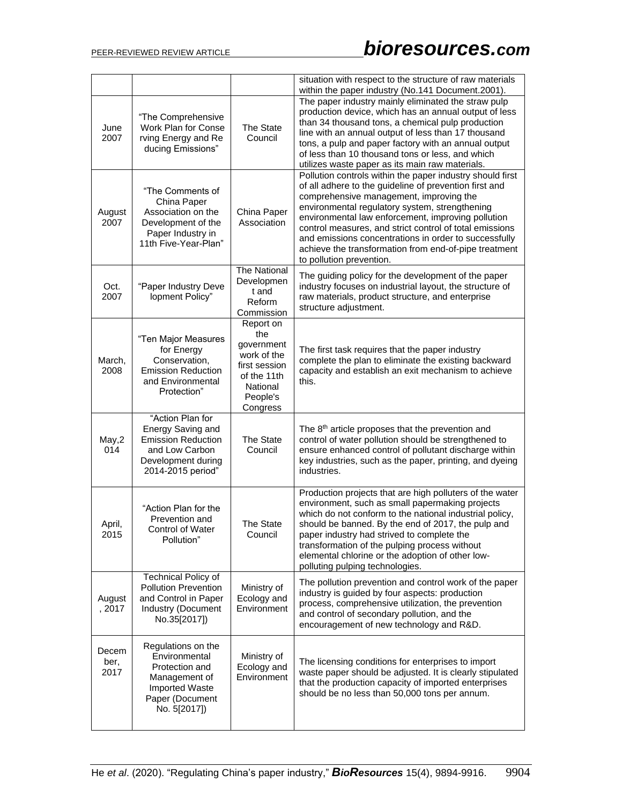|                       |                                                                                                                                    |                                                                                                                   | situation with respect to the structure of raw materials<br>within the paper industry (No.141 Document.2001).                                                                                                                                                                                                                                                                                                                                                                   |
|-----------------------|------------------------------------------------------------------------------------------------------------------------------------|-------------------------------------------------------------------------------------------------------------------|---------------------------------------------------------------------------------------------------------------------------------------------------------------------------------------------------------------------------------------------------------------------------------------------------------------------------------------------------------------------------------------------------------------------------------------------------------------------------------|
| June<br>2007          | "The Comprehensive<br>Work Plan for Conse<br>rving Energy and Re<br>ducing Emissions"                                              | The State<br>Council                                                                                              | The paper industry mainly eliminated the straw pulp<br>production device, which has an annual output of less<br>than 34 thousand tons, a chemical pulp production<br>line with an annual output of less than 17 thousand<br>tons, a pulp and paper factory with an annual output<br>of less than 10 thousand tons or less, and which<br>utilizes waste paper as its main raw materials.                                                                                         |
| August<br>2007        | "The Comments of<br>China Paper<br>Association on the<br>Development of the<br>Paper Industry in<br>11th Five-Year-Plan"           | China Paper<br>Association                                                                                        | Pollution controls within the paper industry should first<br>of all adhere to the guideline of prevention first and<br>comprehensive management, improving the<br>environmental regulatory system, strengthening<br>environmental law enforcement, improving pollution<br>control measures, and strict control of total emissions<br>and emissions concentrations in order to successfully<br>achieve the transformation from end-of-pipe treatment<br>to pollution prevention. |
| Oct.<br>2007          | "Paper Industry Deve<br>lopment Policy"                                                                                            | The National<br>Developmen<br>t and<br>Reform<br>Commission                                                       | The guiding policy for the development of the paper<br>industry focuses on industrial layout, the structure of<br>raw materials, product structure, and enterprise<br>structure adjustment.                                                                                                                                                                                                                                                                                     |
| March,<br>2008        | "Ten Major Measures<br>for Energy<br>Conservation,<br><b>Emission Reduction</b><br>and Environmental<br>Protection"                | Report on<br>the<br>government<br>work of the<br>first session<br>of the 11th<br>National<br>People's<br>Congress | The first task requires that the paper industry<br>complete the plan to eliminate the existing backward<br>capacity and establish an exit mechanism to achieve<br>this.                                                                                                                                                                                                                                                                                                         |
| May,2<br>014          | "Action Plan for<br>Energy Saving and<br><b>Emission Reduction</b><br>and Low Carbon<br>Development during<br>2014-2015 period"    | The State<br>Council                                                                                              | The 8 <sup>th</sup> article proposes that the prevention and<br>control of water pollution should be strengthened to<br>ensure enhanced control of pollutant discharge within<br>key industries, such as the paper, printing, and dyeing<br>industries.                                                                                                                                                                                                                         |
| April,<br>2015        | "Action Plan for the<br>Prevention and<br>Control of Water<br>Pollution"                                                           | The State<br>Council                                                                                              | Production projects that are high polluters of the water<br>environment, such as small papermaking projects<br>which do not conform to the national industrial policy,<br>should be banned. By the end of 2017, the pulp and<br>paper industry had strived to complete the<br>transformation of the pulping process without<br>elemental chlorine or the adoption of other low-<br>polluting pulping technologies.                                                              |
| August<br>, 2017      | <b>Technical Policy of</b><br><b>Pollution Prevention</b><br>and Control in Paper<br><b>Industry (Document</b><br>No.35[2017])     | Ministry of<br>Ecology and<br>Environment                                                                         | The pollution prevention and control work of the paper<br>industry is guided by four aspects: production<br>process, comprehensive utilization, the prevention<br>and control of secondary pollution, and the<br>encouragement of new technology and R&D.                                                                                                                                                                                                                       |
| Decem<br>ber,<br>2017 | Regulations on the<br>Environmental<br>Protection and<br>Management of<br><b>Imported Waste</b><br>Paper (Document<br>No. 5[2017]) | Ministry of<br>Ecology and<br>Environment                                                                         | The licensing conditions for enterprises to import<br>waste paper should be adjusted. It is clearly stipulated<br>that the production capacity of imported enterprises<br>should be no less than 50,000 tons per annum.                                                                                                                                                                                                                                                         |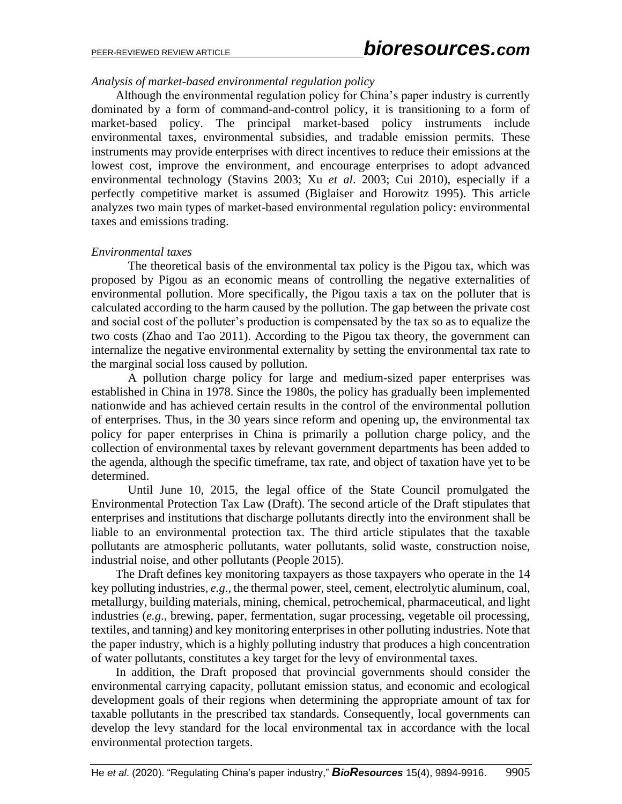#### *Analysis of market-based environmental regulation policy*

Although the environmental regulation policy for China's paper industry is currently dominated by a form of command-and-control policy, it is transitioning to a form of market-based policy. The principal market-based policy instruments include environmental taxes, environmental subsidies, and tradable emission permits. These instruments may provide enterprises with direct incentives to reduce their emissions at the lowest cost, improve the environment, and encourage enterprises to adopt advanced environmental technology (Stavins 2003; Xu *et al*. 2003; Cui 2010), especially if a perfectly competitive market is assumed (Biglaiser and Horowitz 1995). This article analyzes two main types of market-based environmental regulation policy: environmental taxes and emissions trading.

#### *Environmental taxes*

The theoretical basis of the environmental tax policy is the Pigou tax, which was proposed by Pigou as an economic means of controlling the negative externalities of environmental pollution. More specifically, the Pigou taxis a tax on the polluter that is calculated according to the harm caused by the pollution. The gap between the private cost and social cost of the polluter's production is compensated by the tax so as to equalize the two costs (Zhao and Tao 2011). According to the Pigou tax theory, the government can internalize the negative environmental externality by setting the environmental tax rate to the marginal social loss caused by pollution.

A pollution charge policy for large and medium-sized paper enterprises was established in China in 1978. Since the 1980s, the policy has gradually been implemented nationwide and has achieved certain results in the control of the environmental pollution of enterprises. Thus, in the 30 years since reform and opening up, the environmental tax policy for paper enterprises in China is primarily a pollution charge policy, and the collection of environmental taxes by relevant government departments has been added to the agenda, although the specific timeframe, tax rate, and object of taxation have yet to be determined.

Until June 10, 2015, the legal office of the State Council promulgated the Environmental Protection Tax Law (Draft). The second article of the Draft stipulates that enterprises and institutions that discharge pollutants directly into the environment shall be liable to an environmental protection tax. The third article stipulates that the taxable pollutants are atmospheric pollutants, water pollutants, solid waste, construction noise, industrial noise, and other pollutants (People 2015).

The Draft defines key monitoring taxpayers as those taxpayers who operate in the 14 key polluting industries, *e.g*., the thermal power, steel, cement, electrolytic aluminum, coal, metallurgy, building materials, mining, chemical, petrochemical, pharmaceutical, and light industries (*e.g*., brewing, paper, fermentation, sugar processing, vegetable oil processing, textiles, and tanning) and key monitoring enterprises in other polluting industries. Note that the paper industry, which is a highly polluting industry that produces a high concentration of water pollutants, constitutes a key target for the levy of environmental taxes.

In addition, the Draft proposed that provincial governments should consider the environmental carrying capacity, pollutant emission status, and economic and ecological development goals of their regions when determining the appropriate amount of tax for taxable pollutants in the prescribed tax standards. Consequently, local governments can develop the levy standard for the local environmental tax in accordance with the local environmental protection targets.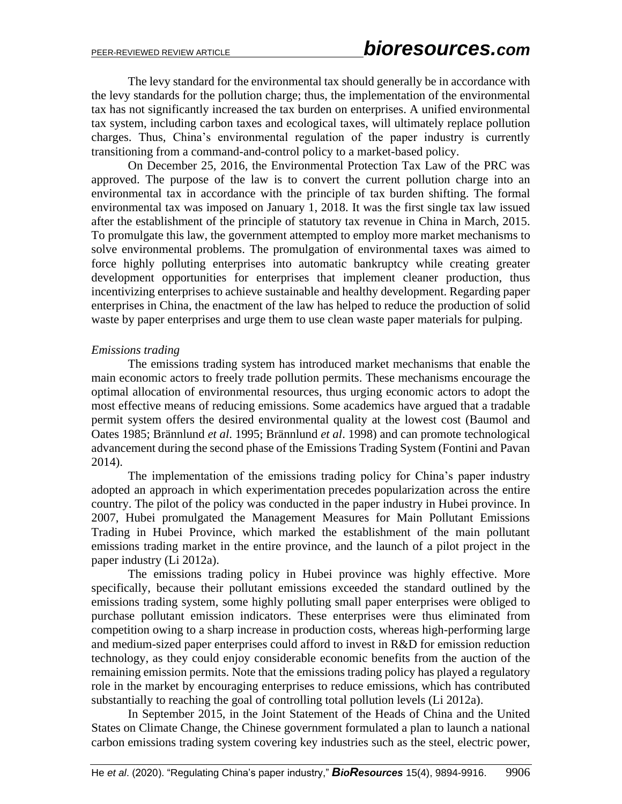The levy standard for the environmental tax should generally be in accordance with the levy standards for the pollution charge; thus, the implementation of the environmental tax has not significantly increased the tax burden on enterprises. A unified environmental tax system, including carbon taxes and ecological taxes, will ultimately replace pollution charges. Thus, China's environmental regulation of the paper industry is currently transitioning from a command-and-control policy to a market-based policy.

On December 25, 2016, the Environmental Protection Tax Law of the PRC was approved. The purpose of the law is to convert the current pollution charge into an environmental tax in accordance with the principle of tax burden shifting. The formal environmental tax was imposed on January 1, 2018. It was the first single tax law issued after the establishment of the principle of statutory tax revenue in China in March, 2015. To promulgate this law, the government attempted to employ more market mechanisms to solve environmental problems. The promulgation of environmental taxes was aimed to force highly polluting enterprises into automatic bankruptcy while creating greater development opportunities for enterprises that implement cleaner production, thus incentivizing enterprises to achieve sustainable and healthy development. Regarding paper enterprises in China, the enactment of the law has helped to reduce the production of solid waste by paper enterprises and urge them to use clean waste paper materials for pulping.

#### *Emissions trading*

The emissions trading system has introduced market mechanisms that enable the main economic actors to freely trade pollution permits. These mechanisms encourage the optimal allocation of environmental resources, thus urging economic actors to adopt the most effective means of reducing emissions. Some academics have argued that a tradable permit system offers the desired environmental quality at the lowest cost (Baumol and Oates 1985; Brännlund *et al*. 1995; Brännlund *et al*. 1998) and can promote technological advancement during the second phase of the Emissions Trading System (Fontini and Pavan 2014).

The implementation of the emissions trading policy for China's paper industry adopted an approach in which experimentation precedes popularization across the entire country. The pilot of the policy was conducted in the paper industry in Hubei province. In 2007, Hubei promulgated the Management Measures for Main Pollutant Emissions Trading in Hubei Province, which marked the establishment of the main pollutant emissions trading market in the entire province, and the launch of a pilot project in the paper industry (Li 2012a).

The emissions trading policy in Hubei province was highly effective. More specifically, because their pollutant emissions exceeded the standard outlined by the emissions trading system, some highly polluting small paper enterprises were obliged to purchase pollutant emission indicators. These enterprises were thus eliminated from competition owing to a sharp increase in production costs, whereas high-performing large and medium-sized paper enterprises could afford to invest in R&D for emission reduction technology, as they could enjoy considerable economic benefits from the auction of the remaining emission permits. Note that the emissions trading policy has played a regulatory role in the market by encouraging enterprises to reduce emissions, which has contributed substantially to reaching the goal of controlling total pollution levels (Li 2012a).

In September 2015, in the Joint Statement of the Heads of China and the United States on Climate Change, the Chinese government formulated a plan to launch a national carbon emissions trading system covering key industries such as the steel, electric power,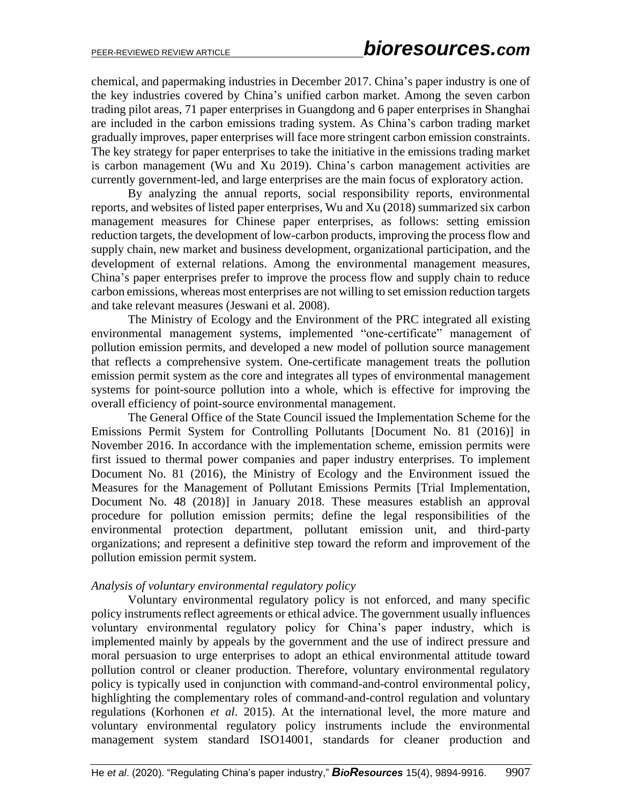chemical, and papermaking industries in December 2017. China's paper industry is one of the key industries covered by China's unified carbon market. Among the seven carbon trading pilot areas, 71 paper enterprises in Guangdong and 6 paper enterprises in Shanghai are included in the carbon emissions trading system. As China's carbon trading market gradually improves, paper enterprises will face more stringent carbon emission constraints. The key strategy for paper enterprises to take the initiative in the emissions trading market is carbon management (Wu and Xu 2019). China's carbon management activities are currently government-led, and large enterprises are the main focus of exploratory action.

By analyzing the annual reports, social responsibility reports, environmental reports, and websites of listed paper enterprises, Wu and Xu (2018) summarized six carbon management measures for Chinese paper enterprises, as follows: setting emission reduction targets, the development of low-carbon products, improving the process flow and supply chain, new market and business development, organizational participation, and the development of external relations. Among the environmental management measures, China's paper enterprises prefer to improve the process flow and supply chain to reduce carbon emissions, whereas most enterprises are not willing to set emission reduction targets and take relevant measures (Jeswani et al. 2008).

The Ministry of Ecology and the Environment of the PRC integrated all existing environmental management systems, implemented "one-certificate" management of pollution emission permits, and developed a new model of pollution source management that reflects a comprehensive system. One-certificate management treats the pollution emission permit system as the core and integrates all types of environmental management systems for point-source pollution into a whole, which is effective for improving the overall efficiency of point-source environmental management.

The General Office of the State Council issued the Implementation Scheme for the Emissions Permit System for Controlling Pollutants [Document No. 81 (2016)] in November 2016. In accordance with the implementation scheme, emission permits were first issued to thermal power companies and paper industry enterprises. To implement Document No. 81 (2016), the Ministry of Ecology and the Environment issued the Measures for the Management of Pollutant Emissions Permits [Trial Implementation, Document No. 48 (2018)] in January 2018. These measures establish an approval procedure for pollution emission permits; define the legal responsibilities of the environmental protection department, pollutant emission unit, and third-party organizations; and represent a definitive step toward the reform and improvement of the pollution emission permit system.

#### *Analysis of voluntary environmental regulatory policy*

Voluntary environmental regulatory policy is not enforced, and many specific policy instruments reflect agreements or ethical advice. The government usually influences voluntary environmental regulatory policy for China's paper industry, which is implemented mainly by appeals by the government and the use of indirect pressure and moral persuasion to urge enterprises to adopt an ethical environmental attitude toward pollution control or cleaner production. Therefore, voluntary environmental regulatory policy is typically used in conjunction with command-and-control environmental policy, highlighting the complementary roles of command-and-control regulation and voluntary regulations (Korhonen *et al*. 2015). At the international level, the more mature and voluntary environmental regulatory policy instruments include the environmental management system standard ISO14001, standards for cleaner production and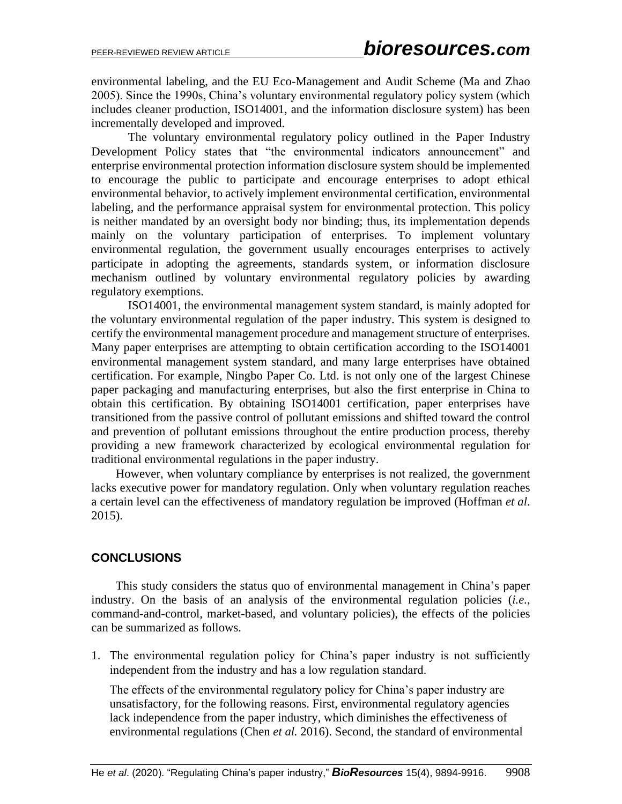environmental labeling, and the EU Eco-Management and Audit Scheme (Ma and Zhao 2005). Since the 1990s, China's voluntary environmental regulatory policy system (which includes cleaner production, ISO14001, and the information disclosure system) has been incrementally developed and improved.

The voluntary environmental regulatory policy outlined in the Paper Industry Development Policy states that "the environmental indicators announcement" and enterprise environmental protection information disclosure system should be implemented to encourage the public to participate and encourage enterprises to adopt ethical environmental behavior, to actively implement environmental certification, environmental labeling, and the performance appraisal system for environmental protection. This policy is neither mandated by an oversight body nor binding; thus, its implementation depends mainly on the voluntary participation of enterprises. To implement voluntary environmental regulation, the government usually encourages enterprises to actively participate in adopting the agreements, standards system, or information disclosure mechanism outlined by voluntary environmental regulatory policies by awarding regulatory exemptions.

ISO14001, the environmental management system standard, is mainly adopted for the voluntary environmental regulation of the paper industry. This system is designed to certify the environmental management procedure and management structure of enterprises. Many paper enterprises are attempting to obtain certification according to the ISO14001 environmental management system standard, and many large enterprises have obtained certification. For example, Ningbo Paper Co. Ltd. is not only one of the largest Chinese paper packaging and manufacturing enterprises, but also the first enterprise in China to obtain this certification. By obtaining ISO14001 certification, paper enterprises have transitioned from the passive control of pollutant emissions and shifted toward the control and prevention of pollutant emissions throughout the entire production process, thereby providing a new framework characterized by ecological environmental regulation for traditional environmental regulations in the paper industry.

However, when voluntary compliance by enterprises is not realized, the government lacks executive power for mandatory regulation. Only when voluntary regulation reaches a certain level can the effectiveness of mandatory regulation be improved (Hoffman *et al*. 2015).

# **CONCLUSIONS**

This study considers the status quo of environmental management in China's paper industry. On the basis of an analysis of the environmental regulation policies (*i.e.*, command-and-control, market-based, and voluntary policies), the effects of the policies can be summarized as follows.

1. The environmental regulation policy for China's paper industry is not sufficiently independent from the industry and has a low regulation standard.

The effects of the environmental regulatory policy for China's paper industry are unsatisfactory, for the following reasons. First, environmental regulatory agencies lack independence from the paper industry, which diminishes the effectiveness of environmental regulations (Chen *et al.* 2016). Second, the standard of environmental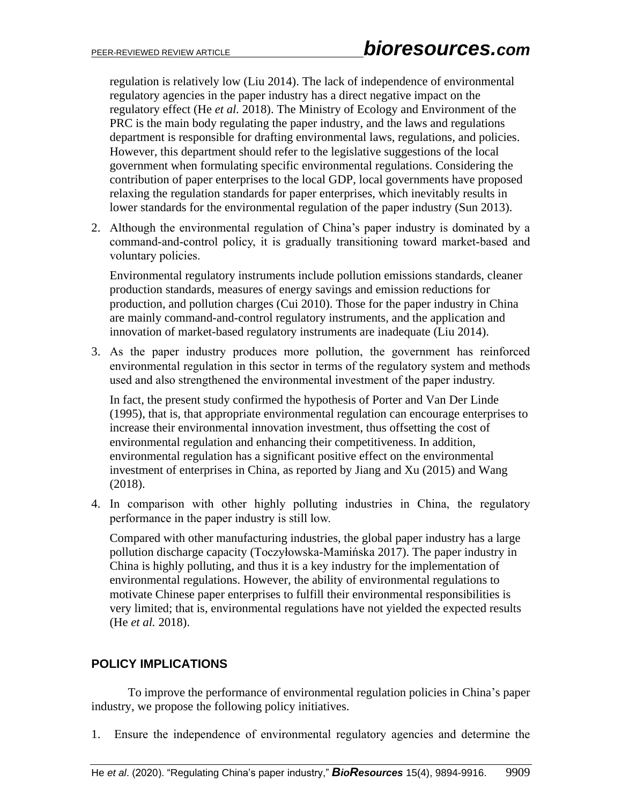regulation is relatively low (Liu 2014). The lack of independence of environmental regulatory agencies in the paper industry has a direct negative impact on the regulatory effect (He *et al.* 2018). The Ministry of Ecology and Environment of the PRC is the main body regulating the paper industry, and the laws and regulations department is responsible for drafting environmental laws, regulations, and policies. However, this department should refer to the legislative suggestions of the local government when formulating specific environmental regulations. Considering the contribution of paper enterprises to the local GDP, local governments have proposed relaxing the regulation standards for paper enterprises, which inevitably results in lower standards for the environmental regulation of the paper industry (Sun 2013).

2. Although the environmental regulation of China's paper industry is dominated by a command-and-control policy, it is gradually transitioning toward market-based and voluntary policies.

Environmental regulatory instruments include pollution emissions standards, cleaner production standards, measures of energy savings and emission reductions for production, and pollution charges (Cui 2010). Those for the paper industry in China are mainly command-and-control regulatory instruments, and the application and innovation of market-based regulatory instruments are inadequate (Liu 2014).

3. As the paper industry produces more pollution, the government has reinforced environmental regulation in this sector in terms of the regulatory system and methods used and also strengthened the environmental investment of the paper industry.

In fact, the present study confirmed the hypothesis of Porter and Van Der Linde (1995), that is, that appropriate environmental regulation can encourage enterprises to increase their environmental innovation investment, thus offsetting the cost of environmental regulation and enhancing their competitiveness. In addition, environmental regulation has a significant positive effect on the environmental investment of enterprises in China, as reported by Jiang and Xu (2015) and Wang (2018).

4. In comparison with other highly polluting industries in China, the regulatory performance in the paper industry is still low.

Compared with other manufacturing industries, the global paper industry has a large pollution discharge capacity (Toczyłowska-Mamińska 2017). The paper industry in China is highly polluting, and thus it is a key industry for the implementation of environmental regulations. However, the ability of environmental regulations to motivate Chinese paper enterprises to fulfill their environmental responsibilities is very limited; that is, environmental regulations have not yielded the expected results (He *et al.* 2018).

# **POLICY IMPLICATIONS**

To improve the performance of environmental regulation policies in China's paper industry, we propose the following policy initiatives.

1. Ensure the independence of environmental regulatory agencies and determine the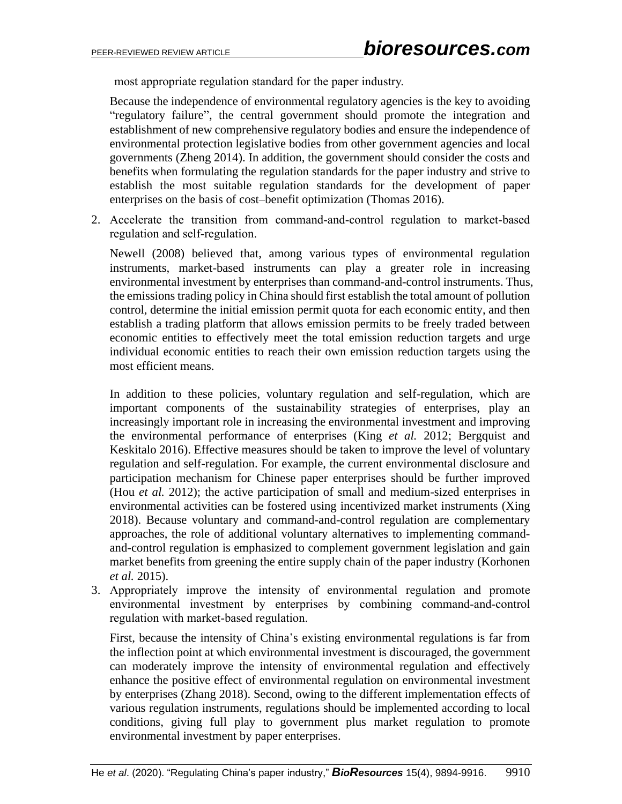most appropriate regulation standard for the paper industry.

Because the independence of environmental regulatory agencies is the key to avoiding "regulatory failure", the central government should promote the integration and establishment of new comprehensive regulatory bodies and ensure the independence of environmental protection legislative bodies from other government agencies and local governments (Zheng 2014). In addition, the government should consider the costs and benefits when formulating the regulation standards for the paper industry and strive to establish the most suitable regulation standards for the development of paper enterprises on the basis of cost–benefit optimization (Thomas 2016).

2. Accelerate the transition from command-and-control regulation to market-based regulation and self-regulation.

Newell (2008) believed that, among various types of environmental regulation instruments, market-based instruments can play a greater role in increasing environmental investment by enterprises than command-and-control instruments. Thus, the emissions trading policy in China should first establish the total amount of pollution control, determine the initial emission permit quota for each economic entity, and then establish a trading platform that allows emission permits to be freely traded between economic entities to effectively meet the total emission reduction targets and urge individual economic entities to reach their own emission reduction targets using the most efficient means.

In addition to these policies, voluntary regulation and self-regulation, which are important components of the sustainability strategies of enterprises, play an increasingly important role in increasing the environmental investment and improving the environmental performance of enterprises (King *et al.* 2012; Bergquist and Keskitalo 2016). Effective measures should be taken to improve the level of voluntary regulation and self-regulation. For example, the current environmental disclosure and participation mechanism for Chinese paper enterprises should be further improved (Hou *et al.* 2012); the active participation of small and medium-sized enterprises in environmental activities can be fostered using incentivized market instruments (Xing 2018). Because voluntary and command-and-control regulation are complementary approaches, the role of additional voluntary alternatives to implementing commandand-control regulation is emphasized to complement government legislation and gain market benefits from greening the entire supply chain of the paper industry (Korhonen *et al.* 2015).

3. Appropriately improve the intensity of environmental regulation and promote environmental investment by enterprises by combining command-and-control regulation with market-based regulation.

First, because the intensity of China's existing environmental regulations is far from the inflection point at which environmental investment is discouraged, the government can moderately improve the intensity of environmental regulation and effectively enhance the positive effect of environmental regulation on environmental investment by enterprises (Zhang 2018). Second, owing to the different implementation effects of various regulation instruments, regulations should be implemented according to local conditions, giving full play to government plus market regulation to promote environmental investment by paper enterprises.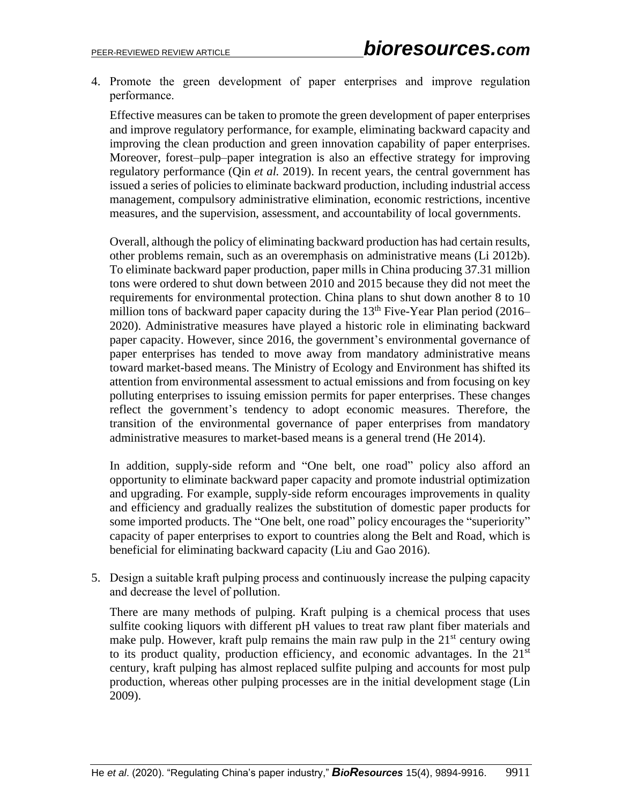4. Promote the green development of paper enterprises and improve regulation performance.

Effective measures can be taken to promote the green development of paper enterprises and improve regulatory performance, for example, eliminating backward capacity and improving the clean production and green innovation capability of paper enterprises. Moreover, forest–pulp–paper integration is also an effective strategy for improving regulatory performance (Qin *et al.* 2019). In recent years, the central government has issued a series of policies to eliminate backward production, including industrial access management, compulsory administrative elimination, economic restrictions, incentive measures, and the supervision, assessment, and accountability of local governments.

Overall, although the policy of eliminating backward production has had certain results, other problems remain, such as an overemphasis on administrative means (Li 2012b). To eliminate backward paper production, paper mills in China producing 37.31 million tons were ordered to shut down between 2010 and 2015 because they did not meet the requirements for environmental protection. China plans to shut down another 8 to 10 million tons of backward paper capacity during the 13<sup>th</sup> Five-Year Plan period (2016– 2020). Administrative measures have played a historic role in eliminating backward paper capacity. However, since 2016, the government's environmental governance of paper enterprises has tended to move away from mandatory administrative means toward market-based means. The Ministry of Ecology and Environment has shifted its attention from environmental assessment to actual emissions and from focusing on key polluting enterprises to issuing emission permits for paper enterprises. These changes reflect the government's tendency to adopt economic measures. Therefore, the transition of the environmental governance of paper enterprises from mandatory administrative measures to market-based means is a general trend (He 2014).

In addition, supply-side reform and "One belt, one road" policy also afford an opportunity to eliminate backward paper capacity and promote industrial optimization and upgrading. For example, supply-side reform encourages improvements in quality and efficiency and gradually realizes the substitution of domestic paper products for some imported products. The "One belt, one road" policy encourages the "superiority" capacity of paper enterprises to export to countries along the Belt and Road, which is beneficial for eliminating backward capacity (Liu and Gao 2016).

5. Design a suitable kraft pulping process and continuously increase the pulping capacity and decrease the level of pollution.

There are many methods of pulping. Kraft pulping is a chemical process that uses sulfite cooking liquors with different pH values to treat raw plant fiber materials and make pulp. However, kraft pulp remains the main raw pulp in the  $21<sup>st</sup>$  century owing to its product quality, production efficiency, and economic advantages. In the 21<sup>st</sup> century, kraft pulping has almost replaced sulfite pulping and accounts for most pulp production, whereas other pulping processes are in the initial development stage (Lin 2009).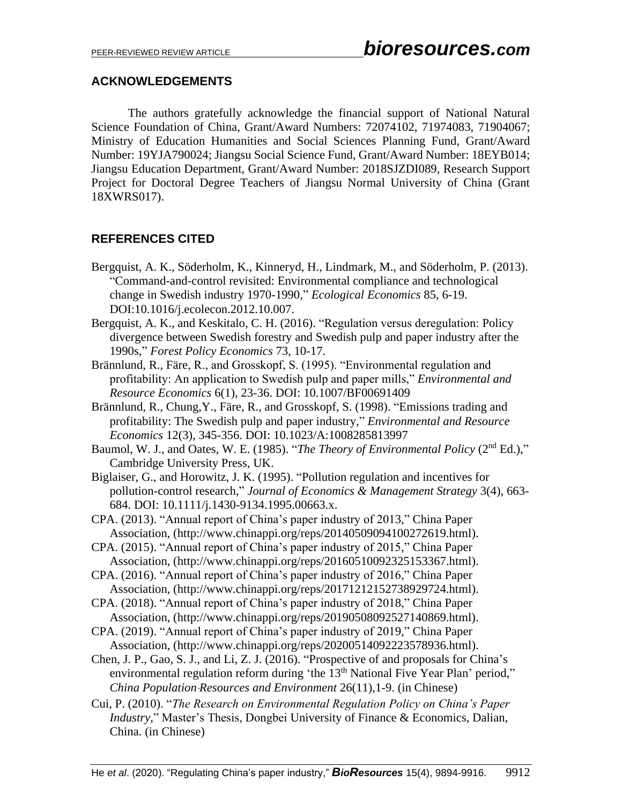# **ACKNOWLEDGEMENTS**

The authors gratefully acknowledge the financial support of National Natural Science Foundation of China, Grant/Award Numbers: 72074102, 71974083, 71904067; Ministry of Education Humanities and Social Sciences Planning Fund, Grant/Award Number: 19YJA790024; Jiangsu Social Science Fund, Grant/Award Number: 18EYB014; Jiangsu Education Department, Grant/Award Number: 2018SJZDI089, Research Support Project for Doctoral Degree Teachers of Jiangsu Normal University of China (Grant 18XWRS017).

# **REFERENCES CITED**

- Bergquist, A. K., Söderholm, K., Kinneryd, H., Lindmark, M., and Söderholm, P. (2013). "Command-and-control revisited: Environmental compliance and technological change in Swedish industry 1970-1990," *Ecological Economics* 85, 6-19. DOI:10.1016/j.ecolecon.2012.10.007.
- Bergquist, A. K., and Keskitalo, C. H. (2016). "Regulation versus deregulation: Policy divergence between Swedish forestry and Swedish pulp and paper industry after the 1990s," *Forest Policy Economics* 73, 10-17.
- Brännlund, R., Färe, R., and Grosskopf, S. (1995). "Environmental regulation and profitability: An application to Swedish pulp and paper mills," *Environmental and Resource Economics* 6(1), 23-36. DOI: 10.1007/BF00691409
- Brännlund, R., Chung,Y., Färe, R., and Grosskopf, S. (1998). "Emissions trading and profitability: The Swedish pulp and paper industry," *Environmental and Resource Economics* 12(3), 345-356. DOI: 10.1023/A:1008285813997
- Baumol, W. J., and Oates, W. E. (1985). "*The Theory of Environmental Policy* (2<sup>nd</sup> Ed.)," Cambridge University Press, UK.
- Biglaiser, G., and Horowitz, J. K. (1995). "Pollution regulation and incentives for pollution-control research," *Journal of Economics & Management Strategy* 3(4), 663- 684. DOI: 10.1111/j.1430-9134.1995.00663.x.
- CPA. (2013). "Annual report of China's paper industry of 2013," China Paper Association, [\(http://www.chinappi.org/reps/20140509094100272619.html\)](http://www.chinappi.org/reps/20140509094100272619.html).
- CPA. (2015). "Annual report of China's paper industry of 2015," China Paper Association, (http://www.chinappi.org/reps/20160510092325153367.html).
- CPA. (2016). "Annual report of China's paper industry of 2016," China Paper Association, [\(http://www.chinappi.org/reps/20171212152738929724.html\)](http://www.chinappi.org/reps/20171212152738929724.html).
- CPA. (2018). "Annual report of China's paper industry of 2018," China Paper Association, (http://www.chinappi.org/reps/20190508092527140869.html).
- CPA. (2019). "Annual report of China's paper industry of 2019," China Paper Association, (http://www.chinappi.org/reps/20200514092223578936.html).
- Chen, J. P., Gao, S. J., and Li, Z. J. (2016). "Prospective of and proposals for China's environmental regulation reform during 'the 13<sup>th</sup> National Five Year Plan' period," *China Population*·*Resources and Environment* 26(11),1-9. (in Chinese)
- Cui, P. (2010). "*The Research on Environmental Regulation Policy on China's Paper Industry*," Master's Thesis, Dongbei University of Finance & Economics, Dalian, China. (in Chinese)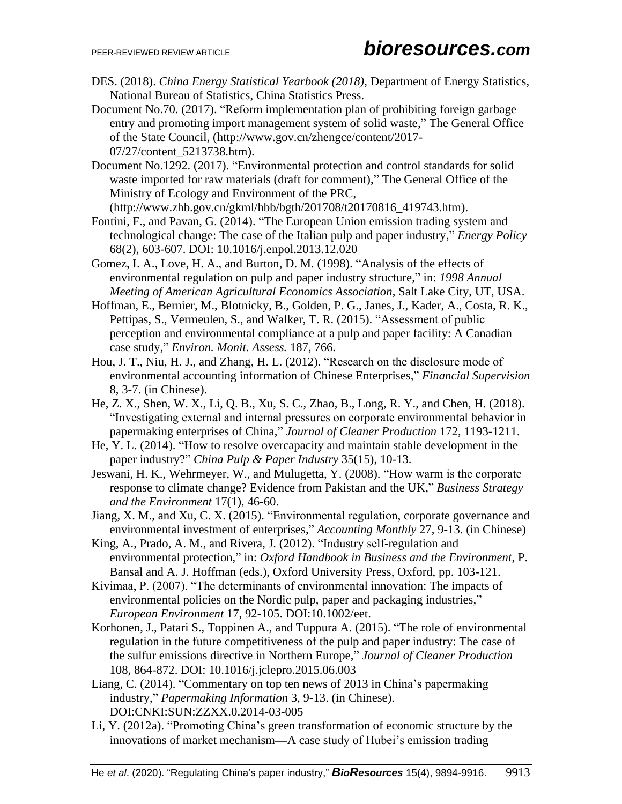- DES. (2018). *China Energy Statistical Yearbook (2018)*, Department of Energy Statistics, National Bureau of Statistics, China Statistics Press.
- Document No.70. (2017). "Reform implementation plan of prohibiting foreign garbage entry and promoting import management system of solid waste," The General Office of the State Council, [\(http://www.gov.cn/zhengce/content/2017-](http://www.gov.cn/zhengce/content/2017-07/27/content_5213738.htm) [07/27/content\\_5213738.htm\)](http://www.gov.cn/zhengce/content/2017-07/27/content_5213738.htm).
- Document No.1292. (2017). "Environmental protection and control standards for solid waste imported for raw materials (draft for comment)," The General Office of the Ministry of Ecology and Environment of the PRC, [\(http://www.zhb.gov.cn/gkml/hbb/bgth/201708/t20170816\\_419743.htm\)](http://www.zhb.gov.cn/gkml/hbb/bgth/201708/t20170816_419743.htm).
- Fontini, F., and Pavan, G. (2014). "The European Union emission trading system and technological change: The case of the Italian pulp and paper industry," *Energy Policy* 68(2), 603-607. DOI: 10.1016/j.enpol.2013.12.020
- Gomez, I. A., Love, H. A., and Burton, D. M. (1998). "Analysis of the effects of environmental regulation on pulp and paper industry structure," in: *1998 Annual Meeting of American Agricultural Economics Association*, Salt Lake City, UT, USA.
- Hoffman, E., Bernier, M., Blotnicky, B., Golden, P. G., Janes, J., Kader, A., Costa, R. K., Pettipas, S., Vermeulen, S., and Walker, T. R. (2015). "Assessment of public perception and environmental compliance at a pulp and paper facility: A Canadian case study," *Environ. Monit. Assess.* 187, 766.
- Hou, J. T., Niu, H. J., and Zhang, H. L. (2012). "Research on the disclosure mode of environmental accounting information of Chinese Enterprises," *Financial Supervision* 8, 3-7. (in Chinese).
- He, Z. X., Shen, W. X., Li, Q. B., Xu, S. C., Zhao, B., Long, R. Y., and Chen, H. (2018). "Investigating external and internal pressures on corporate environmental behavior in papermaking enterprises of China," *Journal of Cleaner Production* 172, 1193-1211.
- He, Y. L. (2014). "How to resolve overcapacity and maintain stable development in the paper industry?" *China Pulp & Paper Industry* 35(15), 10-13.
- Jeswani, H. K., Wehrmeyer, W., and Mulugetta, Y. (2008). "How warm is the corporate response to climate change? Evidence from Pakistan and the UK," *Business Strategy and the Environment* 17(1), 46-60.
- Jiang, X. M., and Xu, C. X. (2015). "Environmental regulation, corporate governance and environmental investment of enterprises," *Accounting Monthly* 27, 9-13. (in Chinese)
- King, A., Prado, A. M., and Rivera, J. (2012). "Industry self-regulation and environmental protection," in: *Oxford Handbook in Business and the Environment*, P. Bansal and A. J. Hoffman (eds.), Oxford University Press, Oxford, pp. 103-121.
- Kivimaa, P. (2007). "The determinants of environmental innovation: The impacts of environmental policies on the Nordic pulp, paper and packaging industries," *European Environment* 17, 92-105. DOI:10.1002/eet.
- Korhonen, J., Patari S., Toppinen A., and Tuppura A. (2015). "The role of environmental regulation in the future competitiveness of the pulp and paper industry: The case of the sulfur emissions directive in Northern Europe," *Journal of Cleaner Production*  108, 864-872. DOI: 10.1016/j.jclepro.2015.06.003
- Liang, C. (2014). "Commentary on top ten news of 2013 in China's papermaking industry," *Papermaking Information* 3, 9-13. (in Chinese). DOI:CNKI:SUN:ZZXX.0.2014-03-005
- Li, Y. (2012a). "Promoting China's green transformation of economic structure by the innovations of market mechanism—A case study of Hubei's emission trading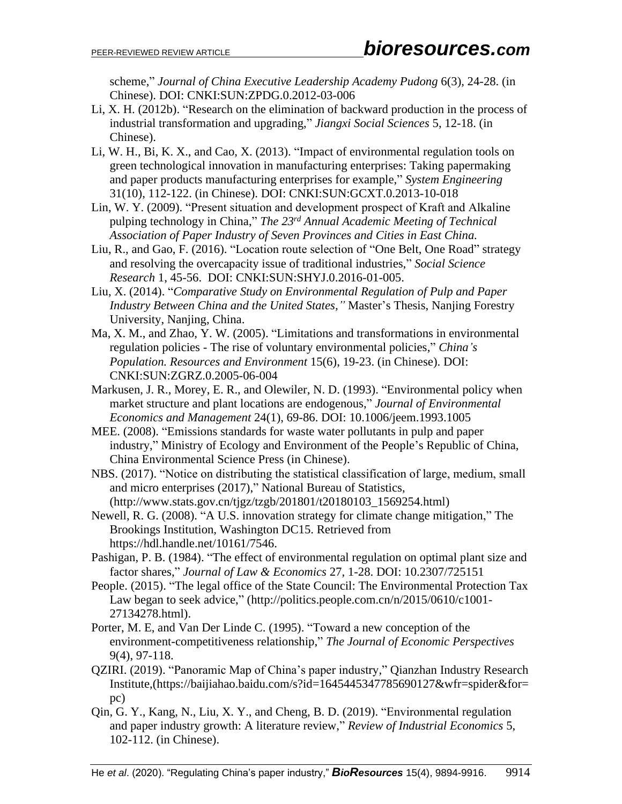scheme," *Journal of China Executive Leadership Academy Pudong* 6(3), 24-28. (in Chinese). DOI: CNKI:SUN:ZPDG.0.2012-03-006

- Li, X. H. (2012b). "Research on the elimination of backward production in the process of industrial transformation and upgrading," *Jiangxi Social Sciences* 5, 12-18. (in Chinese).
- Li, W. H., Bi, K. X., and Cao, X. (2013). "Impact of environmental regulation tools on green technological innovation in manufacturing enterprises: Taking papermaking and paper products manufacturing enterprises for example," *System Engineering* 31(10), 112-122. (in Chinese). DOI: CNKI:SUN:GCXT.0.2013-10-018
- Lin, W. Y. (2009). "Present situation and development prospect of Kraft and Alkaline pulping technology in China," *The 23rd Annual Academic Meeting of Technical Association of Paper Industry of Seven Provinces and Cities in East China.*
- Liu, R., and Gao, F. (2016). "Location route selection of "One Belt, One Road" strategy and resolving the overcapacity issue of traditional industries," *Social Science Research* 1, 45-56. DOI: CNKI:SUN:SHYJ.0.2016-01-005.
- Liu, X. (2014). "*Comparative Study on Environmental Regulation of Pulp and Paper Industry Between China and the United States,"* Master's Thesis, Nanjing Forestry University, Nanjing, China.
- Ma, X. M., and Zhao, Y. W. (2005). "Limitations and transformations in environmental regulation policies - The rise of voluntary environmental policies," *China's Population. Resources and Environment* 15(6), 19-23. (in Chinese). DOI: CNKI:SUN:ZGRZ.0.2005-06-004
- Markusen, J. R., Morey, E. R., and Olewiler, N. D. (1993). "Environmental policy when market structure and plant locations are endogenous," *Journal of Environmental Economics and Management* 24(1), 69-86. DOI: 10.1006/jeem.1993.1005
- MEE. (2008). "Emissions standards for waste water pollutants in pulp and paper industry," Ministry of Ecology and Environment of the People's Republic of China, China Environmental Science Press (in Chinese).
- NBS. (2017). "Notice on distributing the statistical classification of large, medium, small and micro enterprises (2017)," National Bureau of Statistics, (http://www.stats.gov.cn/tjgz/tzgb/201801/t20180103\_1569254.html)
- Newell, R. G. (2008). "A U.S. innovation strategy for climate change mitigation," The Brookings Institution, Washington DC15. Retrieved from [https://hdl.handle.net/10161/7546.](https://hdl.handle.net/10161/7546)
- Pashigan, P. B. (1984). "The effect of environmental regulation on optimal plant size and factor shares," *Journal of Law & Economics* 27, 1-28. DOI: 10.2307/725151
- People. (2015). "The legal office of the State Council: The Environmental Protection Tax Law began to seek advice," [\(http://politics.people.com.cn/n/2015/0610/c1001-](http://politics.people.com.cn/n/2015/0610/c1001-27134278.html) [27134278.html\)](http://politics.people.com.cn/n/2015/0610/c1001-27134278.html).
- Porter, M. E, and Van Der Linde C. (1995). "Toward a new conception of the environment-competitiveness relationship," *The Journal of Economic Perspectives* 9(4), 97-118.
- QZIRI. (2019). "Panoramic Map of China's paper industry," Qianzhan Industry Research Institute,[\(https://baijiahao.baidu.com/s?id=1645445347785690127&wfr=spider&for=](https://baijiahao.baidu.com/s?id=1645445347785690127&wfr=spider&for=pc) [pc\)](https://baijiahao.baidu.com/s?id=1645445347785690127&wfr=spider&for=pc)
- Qin, G. Y., Kang, N., Liu, X. Y., and Cheng, B. D. (2019). "Environmental regulation and paper industry growth: A literature review," *Review of Industrial Economics* 5, 102-112. (in Chinese).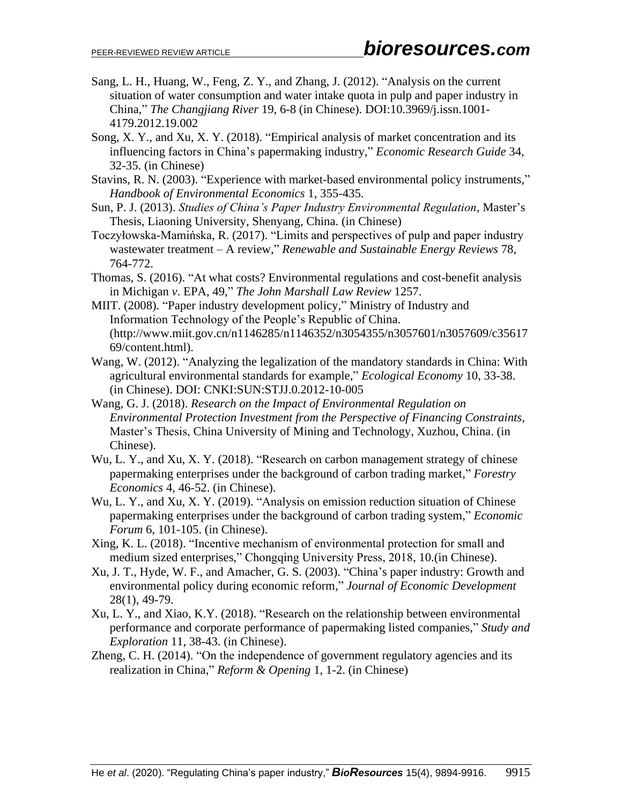- Sang, L. H., Huang, W., Feng, Z. Y., and Zhang, J. (2012). "Analysis on the current situation of water consumption and water intake quota in pulp and paper industry in China," *The Changjiang River* 19, 6-8 (in Chinese). DOI:10.3969/j.issn.1001- 4179.2012.19.002
- Song, X. Y., and Xu, X. Y. (2018). "Empirical analysis of market concentration and its influencing factors in China's papermaking industry," *Economic Research Guide* 34, 32-35. (in Chinese)
- Stavins, R. N. (2003). "Experience with market-based environmental policy instruments," *Handbook of Environmental Economics* 1, 355-435.
- Sun, P. J. (2013). *Studies of China's Paper Industry Environmental Regulation*, Master's Thesis, Liaoning University, Shenyang, China. (in Chinese)
- Toczyłowska-Mamińska, R. (2017). "Limits and perspectives of pulp and paper industry wastewater treatment – A review," *Renewable and Sustainable Energy Reviews* 78, 764-772.
- Thomas, S. (2016). "At what costs? Environmental regulations and cost-benefit analysis in Michigan *v*. EPA, 49," *The John Marshall Law Review* 1257.
- MIIT. (2008). "Paper industry development policy," Ministry of Industry and Information Technology of the People's Republic of China. [\(http://www.miit.gov.cn/n1146285/n1146352/n3054355/n3057601/n3057609/c35617](http://www.miit.gov.cn/n1146285/n1146352/n3054355/n3057601/n3057609/c3561769/content.html) [69/content.html\)](http://www.miit.gov.cn/n1146285/n1146352/n3054355/n3057601/n3057609/c3561769/content.html).
- Wang, W. (2012). "Analyzing the legalization of the mandatory standards in China: With agricultural environmental standards for example," *Ecological Economy* 10, 33-38. (in Chinese). DOI: CNKI:SUN:STJJ.0.2012-10-005
- Wang, G. J. (2018). *Research on the Impact of Environmental Regulation on Environmental Protection Investment from the Perspective of Financing Constraints,* Master's Thesis, China University of Mining and Technology, Xuzhou, China. (in Chinese).
- Wu, L. Y., and Xu, X. Y. (2018). "Research on carbon management strategy of chinese papermaking enterprises under the background of carbon trading market," *Forestry Economics* 4, 46-52. (in Chinese).
- Wu, L. Y., and Xu, X. Y. (2019). "Analysis on emission reduction situation of Chinese papermaking enterprises under the background of carbon trading system," *Economic Forum* 6, 101-105. (in Chinese).
- Xing, K. L. (2018). "Incentive mechanism of environmental protection for small and medium sized enterprises," Chongqing University Press, 2018, 10.(in Chinese).
- Xu, J. T., Hyde, W. F., and Amacher, G. S. (2003). "China's paper industry: Growth and environmental policy during economic reform," *Journal of Economic Development* 28(1), 49-79.
- Xu, L. Y., and Xiao, K.Y. (2018). "Research on the relationship between environmental performance and corporate performance of papermaking listed companies," *Study and Exploration* 11, 38-43. (in Chinese).
- Zheng, C. H. (2014). "On the independence of government regulatory agencies and its realization in China," *Reform & Opening* 1, 1-2. (in Chinese)